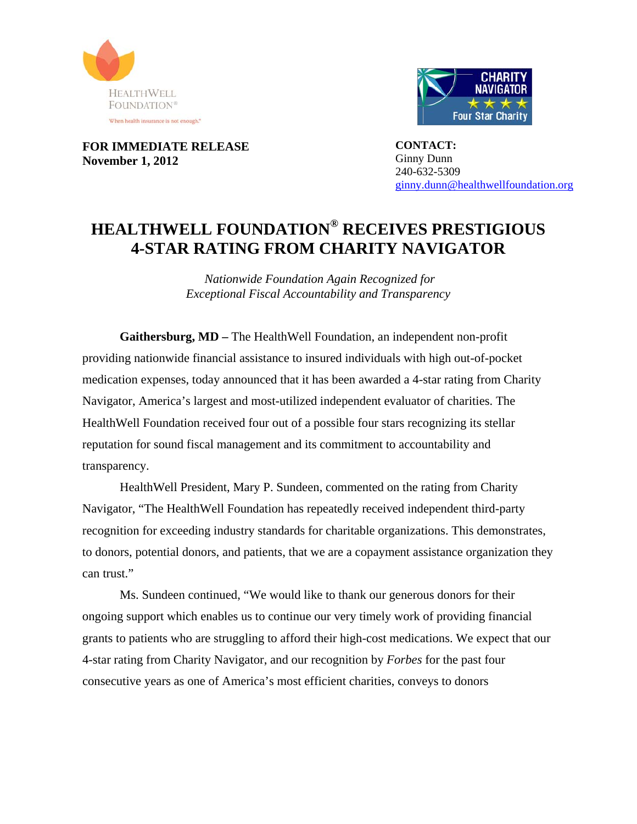



**FOR IMMEDIATE RELEASE November 1, 2012** 

**CONTACT:**  Ginny Dunn 240-632-5309 ginny.dunn@healthwellfoundation.org

## **HEALTHWELL FOUNDATION® RECEIVES PRESTIGIOUS 4-STAR RATING FROM CHARITY NAVIGATOR**

 *Nationwide Foundation Again Recognized for Exceptional Fiscal Accountability and Transparency* 

**Gaithersburg, MD –** The HealthWell Foundation, an independent non-profit providing nationwide financial assistance to insured individuals with high out-of-pocket medication expenses, today announced that it has been awarded a 4-star rating from Charity Navigator, America's largest and most-utilized independent evaluator of charities. The HealthWell Foundation received four out of a possible four stars recognizing its stellar reputation for sound fiscal management and its commitment to accountability and transparency.

HealthWell President, Mary P. Sundeen, commented on the rating from Charity Navigator, "The HealthWell Foundation has repeatedly received independent third-party recognition for exceeding industry standards for charitable organizations. This demonstrates, to donors, potential donors, and patients, that we are a copayment assistance organization they can trust."

Ms. Sundeen continued, "We would like to thank our generous donors for their ongoing support which enables us to continue our very timely work of providing financial grants to patients who are struggling to afford their high-cost medications. We expect that our 4-star rating from Charity Navigator, and our recognition by *Forbes* for the past four consecutive years as one of America's most efficient charities, conveys to donors